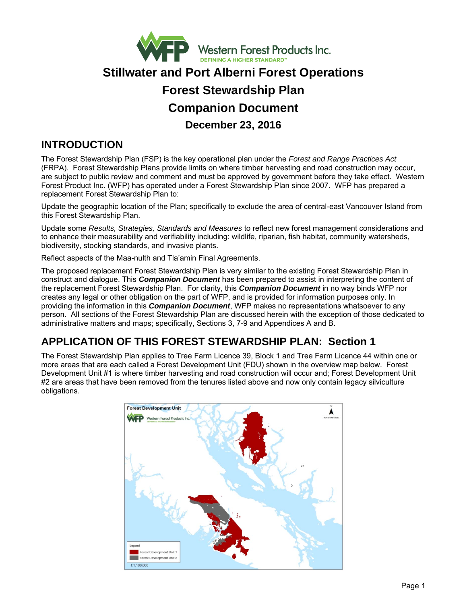

# **Stillwater and Port Alberni Forest Operations Forest Stewardship Plan Companion Document December 23, 2016**

## **INTRODUCTION**

The Forest Stewardship Plan (FSP) is the key operational plan under the *Forest and Range Practices Act*  (FRPA). Forest Stewardship Plans provide limits on where timber harvesting and road construction may occur, are subject to public review and comment and must be approved by government before they take effect. Western Forest Product Inc. (WFP) has operated under a Forest Stewardship Plan since 2007. WFP has prepared a replacement Forest Stewardship Plan to:

Update the geographic location of the Plan; specifically to exclude the area of central-east Vancouver Island from this Forest Stewardship Plan.

Update some *Results, Strategies, Standards and Measures* to reflect new forest management considerations and to enhance their measurability and verifiability including: wildlife, riparian, fish habitat, community watersheds, biodiversity, stocking standards, and invasive plants.

Reflect aspects of the Maa-nulth and Tla'amin Final Agreements.

The proposed replacement Forest Stewardship Plan is very similar to the existing Forest Stewardship Plan in construct and dialogue. This *Companion Document* has been prepared to assist in interpreting the content of the replacement Forest Stewardship Plan. For clarity, this *Companion Document* in no way binds WFP nor creates any legal or other obligation on the part of WFP, and is provided for information purposes only. In providing the information in this *Companion Document*, WFP makes no representations whatsoever to any person. All sections of the Forest Stewardship Plan are discussed herein with the exception of those dedicated to administrative matters and maps; specifically, Sections 3, 7-9 and Appendices A and B.

## **APPLICATION OF THIS FOREST STEWARDSHIP PLAN: Section 1**

The Forest Stewardship Plan applies to Tree Farm Licence 39, Block 1 and Tree Farm Licence 44 within one or more areas that are each called a Forest Development Unit (FDU) shown in the overview map below. Forest Development Unit #1 is where timber harvesting and road construction will occur and; Forest Development Unit #2 are areas that have been removed from the tenures listed above and now only contain legacy silviculture obligations.

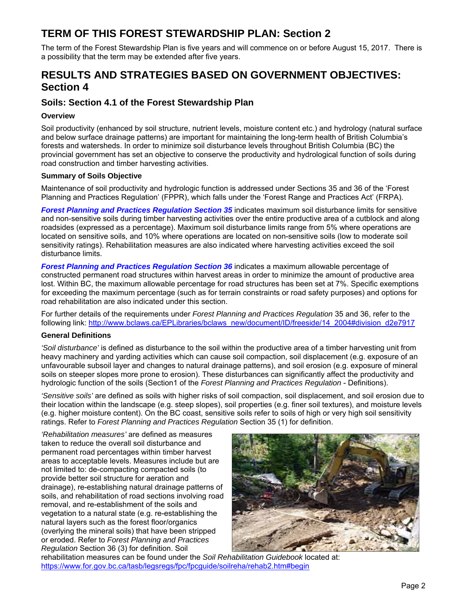## **TERM OF THIS FOREST STEWARDSHIP PLAN: Section 2**

The term of the Forest Stewardship Plan is five years and will commence on or before August 15, 2017. There is a possibility that the term may be extended after five years.

## **RESULTS AND STRATEGIES BASED ON GOVERNMENT OBJECTIVES: Section 4**

## **Soils: Section 4.1 of the Forest Stewardship Plan**

## **Overview**

Soil productivity (enhanced by soil structure, nutrient levels, moisture content etc.) and hydrology (natural surface and below surface drainage patterns) are important for maintaining the long-term health of British Columbia's forests and watersheds. In order to minimize soil disturbance levels throughout British Columbia (BC) the provincial government has set an objective to conserve the productivity and hydrological function of soils during road construction and timber harvesting activities.

## **Summary of Soils Objective**

Maintenance of soil productivity and hydrologic function is addressed under Sections 35 and 36 of the 'Forest Planning and Practices Regulation' (FPPR), which falls under the 'Forest Range and Practices Act' (FRPA).

*Forest Planning and Practices Regulation Section 35* indicates maximum soil disturbance limits for sensitive and non-sensitive soils during timber harvesting activities over the entire productive area of a cutblock and along roadsides (expressed as a percentage). Maximum soil disturbance limits range from 5% where operations are located on sensitive soils, and 10% where operations are located on non-sensitive soils (low to moderate soil sensitivity ratings). Rehabilitation measures are also indicated where harvesting activities exceed the soil disturbance limits.

*Forest Planning and Practices Regulation Section 36* indicates a maximum allowable percentage of constructed permanent road structures within harvest areas in order to minimize the amount of productive area lost. Within BC, the maximum allowable percentage for road structures has been set at 7%. Specific exemptions for exceeding the maximum percentage (such as for terrain constraints or road safety purposes) and options for road rehabilitation are also indicated under this section.

For further details of the requirements under *Forest Planning and Practices Regulation* 35 and 36, refer to the following link: http://www.bclaws.ca/EPLibraries/bclaws\_new/document/ID/freeside/14\_2004#division\_d2e7917

## **General Definitions**

*'Soil disturbance'* is defined as disturbance to the soil within the productive area of a timber harvesting unit from heavy machinery and yarding activities which can cause soil compaction, soil displacement (e.g. exposure of an unfavourable subsoil layer and changes to natural drainage patterns), and soil erosion (e.g. exposure of mineral soils on steeper slopes more prone to erosion). These disturbances can significantly affect the productivity and hydrologic function of the soils (Section1 of the *Forest Planning and Practices Regulation* - Definitions).

*'Sensitive soils'* are defined as soils with higher risks of soil compaction, soil displacement, and soil erosion due to their location within the landscape (e.g. steep slopes), soil properties (e.g. finer soil textures), and moisture levels (e.g. higher moisture content). On the BC coast, sensitive soils refer to soils of high or very high soil sensitivity ratings. Refer to *Forest Planning and Practices Regulation* Section 35 (1) for definition.

*'Rehabilitation measures'* are defined as measures taken to reduce the overall soil disturbance and permanent road percentages within timber harvest areas to acceptable levels. Measures include but are not limited to: de-compacting compacted soils (to provide better soil structure for aeration and drainage), re-establishing natural drainage patterns of soils, and rehabilitation of road sections involving road removal, and re-establishment of the soils and vegetation to a natural state (e.g. re-establishing the natural layers such as the forest floor/organics (overlying the mineral soils) that have been stripped or eroded. Refer to *Forest Planning and Practices Regulation* Section 36 (3) for definition. Soil



rehabilitation measures can be found under the *Soil Rehabilitation Guidebook* located at: https://www.for.gov.bc.ca/tasb/legsregs/fpc/fpcguide/soilreha/rehab2.htm#begin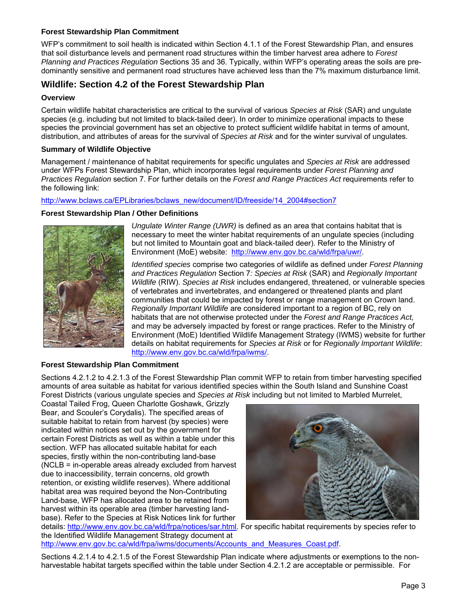## **Forest Stewardship Plan Commitment**

WFP's commitment to soil health is indicated within Section 4.1.1 of the Forest Stewardship Plan, and ensures that soil disturbance levels and permanent road structures within the timber harvest area adhere to *Forest Planning and Practices Regulation* Sections 35 and 36. Typically, within WFP's operating areas the soils are predominantly sensitive and permanent road structures have achieved less than the 7% maximum disturbance limit.

## **Wildlife: Section 4.2 of the Forest Stewardship Plan**

### **Overview**

Certain wildlife habitat characteristics are critical to the survival of various *Species at Risk* (SAR) and ungulate species (e.g. including but not limited to black-tailed deer). In order to minimize operational impacts to these species the provincial government has set an objective to protect sufficient wildlife habitat in terms of amount, distribution, and attributes of areas for the survival of *Species at Risk* and for the winter survival of ungulates.

## **Summary of Wildlife Objective**

Management / maintenance of habitat requirements for specific ungulates and *Species at Risk* are addressed under WFPs Forest Stewardship Plan, which incorporates legal requirements under *Forest Planning and Practices Regulation* section 7. For further details on the *Forest and Range Practices Act* requirements refer to the following link:

http://www.bclaws.ca/EPLibraries/bclaws\_new/document/ID/freeside/14\_2004#section7

#### **Forest Stewardship Plan / Other Definitions**



*Ungulate Winter Range (UWR)* is defined as an area that contains habitat that is necessary to meet the winter habitat requirements of an ungulate species (including but not limited to Mountain goat and black-tailed deer). Refer to the Ministry of Environment (MoE) website: http://www.env.gov.bc.ca/wld/frpa/uwr/.

*Identified species* comprise two categories of wildlife as defined under *Forest Planning and Practices Regulation* Section 7*: Species at Risk* (SAR) and *Regionally Important Wildlife* (RIW). *Species at Risk* includes endangered, threatened, or vulnerable species of vertebrates and invertebrates, and endangered or threatened plants and plant communities that could be impacted by forest or range management on Crown land. *Regionally Important Wildlife* are considered important to a region of BC, rely on habitats that are not otherwise protected under the *Forest and Range Practices Act,*  and may be adversely impacted by forest or range practices. Refer to the Ministry of Environment (MoE) Identified Wildlife Management Strategy (IWMS) website for further details on habitat requirements for *Species at Risk* or for *Regionally Important Wildlife*: http://www.env.gov.bc.ca/wld/frpa/iwms/.

## **Forest Stewardship Plan Commitment**

Sections 4.2.1.2 to 4.2.1.3 of the Forest Stewardship Plan commit WFP to retain from timber harvesting specified amounts of area suitable as habitat for various identified species within the South Island and Sunshine Coast Forest Districts (various ungulate species and *Species at Risk* including but not limited to Marbled Murrelet,

Coastal Tailed Frog, Queen Charlotte Goshawk, Grizzly Bear, and Scouler's Corydalis). The specified areas of suitable habitat to retain from harvest (by species) were indicated within notices set out by the government for certain Forest Districts as well as within a table under this section. WFP has allocated suitable habitat for each species, firstly within the non-contributing land-base (NCLB = in-operable areas already excluded from harvest due to inaccessibility, terrain concerns, old growth retention, or existing wildlife reserves). Where additional habitat area was required beyond the Non-Contributing Land-base, WFP has allocated area to be retained from harvest within its operable area (timber harvesting landbase). Refer to the Species at Risk Notices link for further



details: http://www.env.gov.bc.ca/wld/frpa/notices/sar.html. For specific habitat requirements by species refer to the Identified Wildlife Management Strategy document at http://www.env.gov.bc.ca/wld/frpa/iwms/documents/Accounts\_and\_Measures\_Coast.pdf.

Sections 4.2.1.4 to 4.2.1.5 of the Forest Stewardship Plan indicate where adjustments or exemptions to the nonharvestable habitat targets specified within the table under Section 4.2.1.2 are acceptable or permissible. For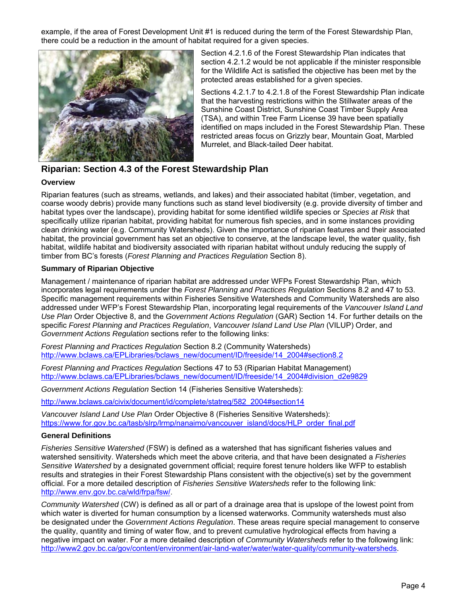example, if the area of Forest Development Unit #1 is reduced during the term of the Forest Stewardship Plan, there could be a reduction in the amount of habitat required for a given species.



Section 4.2.1.6 of the Forest Stewardship Plan indicates that section 4.2.1.2 would be not applicable if the minister responsible for the Wildlife Act is satisfied the objective has been met by the protected areas established for a given species.

Sections 4.2.1.7 to 4.2.1.8 of the Forest Stewardship Plan indicate that the harvesting restrictions within the Stillwater areas of the Sunshine Coast District, Sunshine Coast Timber Supply Area (TSA), and within Tree Farm License 39 have been spatially identified on maps included in the Forest Stewardship Plan. These restricted areas focus on Grizzly bear, Mountain Goat, Marbled Murrelet, and Black-tailed Deer habitat.

## **Riparian: Section 4.3 of the Forest Stewardship Plan**

## **Overview**

Riparian features (such as streams, wetlands, and lakes) and their associated habitat (timber, vegetation, and coarse woody debris) provide many functions such as stand level biodiversity (e.g. provide diversity of timber and habitat types over the landscape), providing habitat for some identified wildlife species or *Species at Risk* that specifically utilize riparian habitat, providing habitat for numerous fish species, and in some instances providing clean drinking water (e.g. Community Watersheds). Given the importance of riparian features and their associated habitat, the provincial government has set an objective to conserve, at the landscape level, the water quality, fish habitat, wildlife habitat and biodiversity associated with riparian habitat without unduly reducing the supply of timber from BC's forests (*Forest Planning and Practices Regulation* Section 8).

## **Summary of Riparian Objective**

Management / maintenance of riparian habitat are addressed under WFPs Forest Stewardship Plan, which incorporates legal requirements under the *Forest Planning and Practices Regulation* Sections 8.2 and 47 to 53. Specific management requirements within Fisheries Sensitive Watersheds and Community Watersheds are also addressed under WFP's Forest Stewardship Plan, incorporating legal requirements of the *Vancouver Island Land Use Plan* Order Objective 8, and the *Government Actions Regulation* (GAR) Section 14. For further details on the specific *Forest Planning and Practices Regulation*, *Vancouver Island Land Use Plan* (VILUP) Order, and *Government Actions Regulation* sections refer to the following links:

*Forest Planning and Practices Regulation* Section 8.2 (Community Watersheds) http://www.bclaws.ca/EPLibraries/bclaws\_new/document/ID/freeside/14\_2004#section8.2

*Forest Planning and Practices Regulation* Sections 47 to 53 (Riparian Habitat Management) http://www.bclaws.ca/EPLibraries/bclaws\_new/document/ID/freeside/14\_2004#division\_d2e9829

*Government Actions Regulation* Section 14 (Fisheries Sensitive Watersheds):

http://www.bclaws.ca/civix/document/id/complete/statreg/582\_2004#section14

*Vancouver Island Land Use Plan* Order Objective 8 (Fisheries Sensitive Watersheds): https://www.for.gov.bc.ca/tasb/slrp/lrmp/nanaimo/vancouver\_island/docs/HLP\_order\_final.pdf

## **General Definitions**

*Fisheries Sensitive Watershed* (FSW) is defined as a watershed that has significant fisheries values and watershed sensitivity. Watersheds which meet the above criteria, and that have been designated a *Fisheries Sensitive Watershed* by a designated government official; require forest tenure holders like WFP to establish results and strategies in their Forest Stewardship Plans consistent with the objective(s) set by the government official. For a more detailed description of *Fisheries Sensitive Watersheds* refer to the following link: http://www.env.gov.bc.ca/wld/frpa/fsw/.

*Community Watershed* (CW) is defined as all or part of a drainage area that is upslope of the lowest point from which water is diverted for human consumption by a licensed waterworks. Community watersheds must also be designated under the *Government Actions Regulation*. These areas require special management to conserve the quality, quantity and timing of water flow, and to prevent cumulative hydrological effects from having a negative impact on water. For a more detailed description of *Community Watersheds* refer to the following link: http://www2.gov.bc.ca/gov/content/environment/air-land-water/water/water-quality/community-watersheds.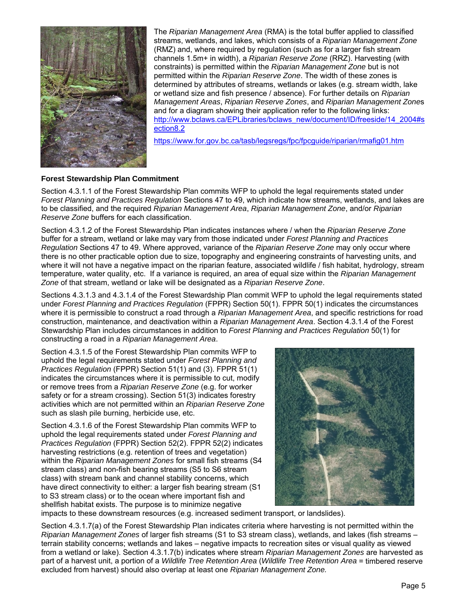

The *Riparian Management Area* (RMA) is the total buffer applied to classified streams, wetlands, and lakes, which consists of a *Riparian Management Zone* (RMZ) and, where required by regulation (such as for a larger fish stream channels 1.5m+ in width), a *Riparian Reserve Zone* (RRZ). Harvesting (with constraints) is permitted within the *Riparian Management Zone* but is not permitted within the *Riparian Reserve Zone*. The width of these zones is determined by attributes of streams, wetlands or lakes (e.g. stream width, lake or wetland size and fish presence / absence). For further details on *Riparian Management Areas*, *Riparian Reserve Zones*, and *Riparian Management Zone*s and for a diagram showing their application refer to the following links: http://www.bclaws.ca/EPLibraries/bclaws\_new/document/ID/freeside/14\_2004#s ection8.2

https://www.for.gov.bc.ca/tasb/legsregs/fpc/fpcguide/riparian/rmafig01.htm

## **Forest Stewardship Plan Commitment**

Section 4.3.1.1 of the Forest Stewardship Plan commits WFP to uphold the legal requirements stated under *Forest Planning and Practices Regulation* Sections 47 to 49, which indicate how streams, wetlands, and lakes are to be classified, and the required *Riparian Management Area*, *Riparian Management Zone*, and/or *Riparian Reserve Zone* buffers for each classification.

Section 4.3.1.2 of the Forest Stewardship Plan indicates instances where / when the *Riparian Reserve Zone* buffer for a stream, wetland or lake may vary from those indicated under *Forest Planning and Practices Regulation* Sections 47 to 49. Where approved, variance of the *Riparian Reserve Zone* may only occur where there is no other practicable option due to size, topography and engineering constraints of harvesting units, and where it will not have a negative impact on the riparian feature, associated wildlife / fish habitat, hydrology, stream temperature, water quality, etc. If a variance is required, an area of equal size within the *Riparian Management Zone* of that stream, wetland or lake will be designated as a *Riparian Reserve Zone*.

Sections 4.3.1.3 and 4.3.1.4 of the Forest Stewardship Plan commit WFP to uphold the legal requirements stated under *Forest Planning and Practices Regulation* (FPPR) Section 50(1). FPPR 50(1) indicates the circumstances where it is permissible to construct a road through a *Riparian Management Area*, and specific restrictions for road construction, maintenance, and deactivation within a *Riparian Management Area*. Section 4.3.1.4 of the Forest Stewardship Plan includes circumstances in addition to *Forest Planning and Practices Regulation* 50(1) for constructing a road in a *Riparian Management Area*.

Section 4.3.1.5 of the Forest Stewardship Plan commits WFP to uphold the legal requirements stated under *Forest Planning and Practices Regulation* (FPPR) Section 51(1) and (3). FPPR 51(1) indicates the circumstances where it is permissible to cut, modify or remove trees from a *Riparian Reserve Zone* (e.g. for worker safety or for a stream crossing). Section 51(3) indicates forestry activities which are not permitted within an *Riparian Reserve Zone* such as slash pile burning, herbicide use, etc.

Section 4.3.1.6 of the Forest Stewardship Plan commits WFP to uphold the legal requirements stated under *Forest Planning and Practices Regulation* (FPPR) Section 52(2). FPPR 52(2) indicates harvesting restrictions (e.g. retention of trees and vegetation) within the *Riparian Management Zones* for small fish streams (S4 stream class) and non-fish bearing streams (S5 to S6 stream class) with stream bank and channel stability concerns, which have direct connectivity to either: a larger fish bearing stream (S1) to S3 stream class) or to the ocean where important fish and shellfish habitat exists. The purpose is to minimize negative



impacts to these downstream resources (e.g. increased sediment transport, or landslides).

Section 4.3.1.7(a) of the Forest Stewardship Plan indicates criteria where harvesting is not permitted within the *Riparian Management Zones* of larger fish streams (S1 to S3 stream class), wetlands, and lakes (fish streams – terrain stability concerns; wetlands and lakes – negative impacts to recreation sites or visual quality as viewed from a wetland or lake). Section 4.3.1.7(b) indicates where stream *Riparian Management Zones* are harvested as part of a harvest unit, a portion of a *Wildlife Tree Retention Area* (*Wildlife Tree Retention Area* = timbered reserve excluded from harvest) should also overlap at least one *Riparian Management Zone.*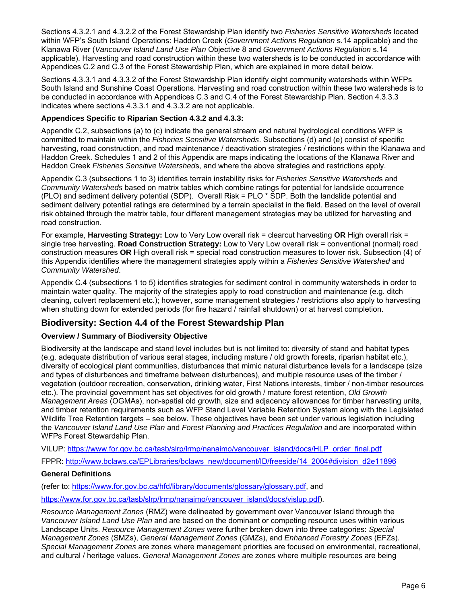Sections 4.3.2.1 and 4.3.2.2 of the Forest Stewardship Plan identify two *Fisheries Sensitive Watersheds* located within WFP's South Island Operations: Haddon Creek (*Government Actions Regulation* s.14 applicable) and the Klanawa River (*Vancouver Island Land Use Plan* Objective 8 and *Government Actions Regulation* s.14 applicable). Harvesting and road construction within these two watersheds is to be conducted in accordance with Appendices C.2 and C.3 of the Forest Stewardship Plan, which are explained in more detail below.

Sections 4.3.3.1 and 4.3.3.2 of the Forest Stewardship Plan identify eight community watersheds within WFPs South Island and Sunshine Coast Operations. Harvesting and road construction within these two watersheds is to be conducted in accordance with Appendices C.3 and C.4 of the Forest Stewardship Plan. Section 4.3.3.3 indicates where sections 4.3.3.1 and 4.3.3.2 are not applicable.

### **Appendices Specific to Riparian Section 4.3.2 and 4.3.3:**

Appendix C.2, subsections (a) to (c) indicate the general stream and natural hydrological conditions WFP is committed to maintain within the *Fisheries Sensitive Watersheds*. Subsections (d) and (e) consist of specific harvesting, road construction, and road maintenance / deactivation strategies / restrictions within the Klanawa and Haddon Creek. Schedules 1 and 2 of this Appendix are maps indicating the locations of the Klanawa River and Haddon Creek *Fisheries Sensitive Watershed*s, and where the above strategies and restrictions apply.

Appendix C.3 (subsections 1 to 3) identifies terrain instability risks for *Fisheries Sensitive Watershed*s and *Community Watersheds* based on matrix tables which combine ratings for potential for landslide occurrence (PLO) and sediment delivery potential (SDP). Overall Risk = PLO \* SDP. Both the landslide potential and sediment delivery potential ratings are determined by a terrain specialist in the field. Based on the level of overall risk obtained through the matrix table, four different management strategies may be utilized for harvesting and road construction.

For example, **Harvesting Strategy:** Low to Very Low overall risk = clearcut harvesting **OR** High overall risk = single tree harvesting. **Road Construction Strategy:** Low to Very Low overall risk = conventional (normal) road construction measures **OR** High overall risk = special road construction measures to lower risk. Subsection (4) of this Appendix identifies where the management strategies apply within a *Fisheries Sensitive Watershed* and *Community Watershed*.

Appendix C.4 (subsections 1 to 5) identifies strategies for sediment control in community watersheds in order to maintain water quality. The majority of the strategies apply to road construction and maintenance (e.g. ditch cleaning, culvert replacement etc.); however, some management strategies / restrictions also apply to harvesting when shutting down for extended periods (for fire hazard / rainfall shutdown) or at harvest completion.

## **Biodiversity: Section 4.4 of the Forest Stewardship Plan**

## **Overview / Summary of Biodiversity Objective**

Biodiversity at the landscape and stand level includes but is not limited to: diversity of stand and habitat types (e.g. adequate distribution of various seral stages, including mature / old growth forests, riparian habitat etc.), diversity of ecological plant communities, disturbances that mimic natural disturbance levels for a landscape (size and types of disturbances and timeframe between disturbances), and multiple resource uses of the timber / vegetation (outdoor recreation, conservation, drinking water, First Nations interests, timber / non-timber resources etc.). The provincial government has set objectives for old growth / mature forest retention, *Old Growth Management Areas* (OGMAs), non-spatial old growth, size and adjacency allowances for timber harvesting units, and timber retention requirements such as WFP Stand Level Variable Retention System along with the Legislated Wildlife Tree Retention targets – see below. These objectives have been set under various legislation including the *Vancouver Island Land Use Plan* and *Forest Planning and Practices Regulation* and are incorporated within WFPs Forest Stewardship Plan.

VILUP: https://www.for.gov.bc.ca/tasb/slrp/lrmp/nanaimo/vancouver\_island/docs/HLP\_order\_final.pdf

FPPR: http://www.bclaws.ca/EPLibraries/bclaws\_new/document/ID/freeside/14\_2004#division\_d2e11896

## **General Definitions**

(refer to: https://www.for.gov.bc.ca/hfd/library/documents/glossary/glossary.pdf, and

https://www.for.gov.bc.ca/tasb/slrp/lrmp/nanaimo/vancouver\_island/docs/vislup.pdf).

*Resource Management Zones* (RMZ) were delineated by government over Vancouver Island through the *Vancouver Island Land Use Plan* and are based on the dominant or competing resource uses within various Landscape Units. *Resource Management Zones* were further broken down into three categories: *Special Management Zones* (SMZs), *General Management Zones* (GMZs), and *Enhanced Forestry Zones* (EFZs). *Special Management Zones* are zones where management priorities are focused on environmental, recreational, and cultural / heritage values. *General Management Zones* are zones where multiple resources are being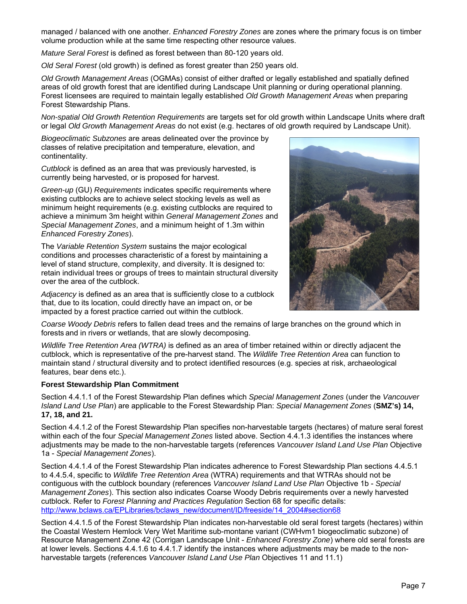managed / balanced with one another. *Enhanced Forestry Zones* are zones where the primary focus is on timber volume production while at the same time respecting other resource values.

*Mature Seral Forest* is defined as forest between than 80-120 years old.

*Old Seral Forest* (old growth) is defined as forest greater than 250 years old.

*Old Growth Management Areas* (OGMAs) consist of either drafted or legally established and spatially defined areas of old growth forest that are identified during Landscape Unit planning or during operational planning. Forest licensees are required to maintain legally established *Old Growth Management Areas* when preparing Forest Stewardship Plans.

*Non-spatial Old Growth Retention Requirements* are targets set for old growth within Landscape Units where draft or legal *Old Growth Management Areas* do not exist (e.g. hectares of old growth required by Landscape Unit).

*Biogeoclimatic Subzones* are areas delineated over the province by classes of relative precipitation and temperature, elevation, and continentality.

*Cutblock* is defined as an area that was previously harvested, is currently being harvested, or is proposed for harvest.

*Green-up* (GU) *Requirements* indicates specific requirements where existing cutblocks are to achieve select stocking levels as well as minimum height requirements (e.g. existing cutblocks are required to achieve a minimum 3m height within *General Management Zones* and *Special Management Zones*, and a minimum height of 1.3m within *Enhanced Forestry Zones*).

The *Variable Retention System* sustains the major ecological conditions and processes characteristic of a forest by maintaining a level of stand structure, complexity, and diversity. It is designed to: retain individual trees or groups of trees to maintain structural diversity over the area of the cutblock.

*Adjacency* is defined as an area that is sufficiently close to a cutblock that, due to its location, could directly have an impact on, or be impacted by a forest practice carried out within the cutblock.



*Coarse Woody Debris* refers to fallen dead trees and the remains of large branches on the ground which in forests and in rivers or wetlands, that are slowly decomposing.

*Wildlife Tree Retention Area (WTRA)* is defined as an area of timber retained within or directly adjacent the cutblock, which is representative of the pre-harvest stand. The *Wildlife Tree Retention Area* can function to maintain stand / structural diversity and to protect identified resources (e.g. species at risk, archaeological features, bear dens etc.).

#### **Forest Stewardship Plan Commitment**

Section 4.4.1.1 of the Forest Stewardship Plan defines which *Special Management Zones* (under the *Vancouver Island Land Use Plan*) are applicable to the Forest Stewardship Plan: *Special Management Zones* (**SMZ's) 14, 17, 18, and 21.** 

Section 4.4.1.2 of the Forest Stewardship Plan specifies non-harvestable targets (hectares) of mature seral forest within each of the four *Special Management Zones* listed above. Section 4.4.1.3 identifies the instances where adjustments may be made to the non-harvestable targets (references *Vancouver Island Land Use Plan* Objective 1a - *Special Management Zones*).

Section 4.4.1.4 of the Forest Stewardship Plan indicates adherence to Forest Stewardship Plan sections 4.4.5.1 to 4.4.5.4, specific to *Wildlife Tree Retention Area* (WTRA) requirements and that WTRAs should not be contiguous with the cutblock boundary (references *Vancouver Island Land Use Plan* Objective 1b - *Special Management Zones*). This section also indicates Coarse Woody Debris requirements over a newly harvested cutblock. Refer to *Forest Planning and Practices Regulation* Section 68 for specific details: http://www.bclaws.ca/EPLibraries/bclaws\_new/document/ID/freeside/14\_2004#section68

Section 4.4.1.5 of the Forest Stewardship Plan indicates non-harvestable old seral forest targets (hectares) within the Coastal Western Hemlock Very Wet Maritime sub-montane variant (CWHvm1 biogeoclimatic subzone) of Resource Management Zone 42 (Corrigan Landscape Unit - *Enhanced Forestry Zone*) where old seral forests are at lower levels. Sections 4.4.1.6 to 4.4.1.7 identify the instances where adjustments may be made to the nonharvestable targets (references *Vancouver Island Land Use Plan* Objectives 11 and 11.1)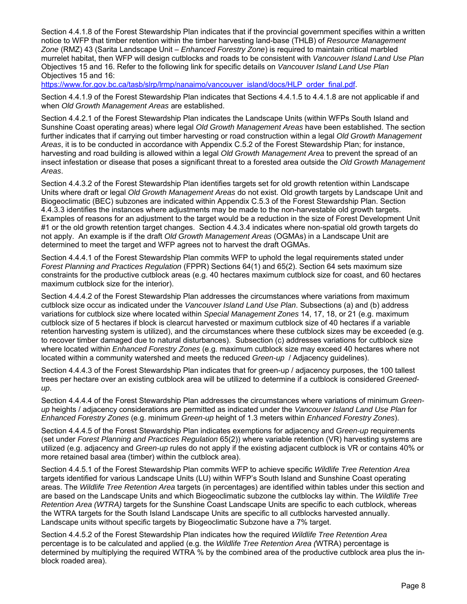Section 4.4.1.8 of the Forest Stewardship Plan indicates that if the provincial government specifies within a written notice to WFP that timber retention within the timber harvesting land-base (THLB) of *Resource Management Zone* (RMZ) 43 (Sarita Landscape Unit – *Enhanced Forestry Zone*) is required to maintain critical marbled murrelet habitat, then WFP will design cutblocks and roads to be consistent with *Vancouver Island Land Use Plan* Objectives 15 and 16. Refer to the following link for specific details on *Vancouver Island Land Use Plan* Objectives 15 and 16:

https://www.for.gov.bc.ca/tasb/slrp/lrmp/nanaimo/vancouver\_island/docs/HLP\_order\_final.pdf.

Section 4.4.1.9 of the Forest Stewardship Plan indicates that Sections 4.4.1.5 to 4.4.1.8 are not applicable if and when *Old Growth Management Areas* are established.

Section 4.4.2.1 of the Forest Stewardship Plan indicates the Landscape Units (within WFPs South Island and Sunshine Coast operating areas) where legal *Old Growth Management Areas* have been established. The section further indicates that if carrying out timber harvesting or road construction within a legal *Old Growth Management Areas*, it is to be conducted in accordance with Appendix C.5.2 of the Forest Stewardship Plan; for instance, harvesting and road building is allowed within a legal *Old Growth Management Area* to prevent the spread of an insect infestation or disease that poses a significant threat to a forested area outside the *Old Growth Management Areas*.

Section 4.4.3.2 of the Forest Stewardship Plan identifies targets set for old growth retention within Landscape Units where draft or legal *Old Growth Management Areas* do not exist. Old growth targets by Landscape Unit and Biogeoclimatic (BEC) subzones are indicated within Appendix C.5.3 of the Forest Stewardship Plan. Section 4.4.3.3 identifies the instances where adjustments may be made to the non-harvestable old growth targets. Examples of reasons for an adjustment to the target would be a reduction in the size of Forest Development Unit #1 or the old growth retention target changes. Section 4.4.3.4 indicates where non-spatial old growth targets do not apply. An example is if the draft *Old Growth Management Areas* (OGMAs) in a Landscape Unit are determined to meet the target and WFP agrees not to harvest the draft OGMAs.

Section 4.4.4.1 of the Forest Stewardship Plan commits WFP to uphold the legal requirements stated under *Forest Planning and Practices Regulation* (FPPR) Sections 64(1) and 65(2). Section 64 sets maximum size constraints for the productive cutblock areas (e.g. 40 hectares maximum cutblock size for coast, and 60 hectares maximum cutblock size for the interior).

Section 4.4.4.2 of the Forest Stewardship Plan addresses the circumstances where variations from maximum cutblock size occur as indicated under the *Vancouver Island Land Use Plan*. Subsections (a) and (b) address variations for cutblock size where located within *Special Management Zones* 14, 17, 18, or 21 (e.g. maximum cutblock size of 5 hectares if block is clearcut harvested or maximum cutblock size of 40 hectares if a variable retention harvesting system is utilized), and the circumstances where these cutblock sizes may be exceeded (e.g. to recover timber damaged due to natural disturbances). Subsection (c) addresses variations for cutblock size where located within *Enhanced Forestry Zones* (e.g. maximum cutblock size may exceed 40 hectares where not located within a community watershed and meets the reduced *Green-up* / Adjacency guidelines).

Section 4.4.4.3 of the Forest Stewardship Plan indicates that for green-up / adjacency purposes, the 100 tallest trees per hectare over an existing cutblock area will be utilized to determine if a cutblock is considered *Greenedup*.

Section 4.4.4.4 of the Forest Stewardship Plan addresses the circumstances where variations of minimum *Greenup* heights / adjacency considerations are permitted as indicated under the *Vancouver Island Land Use Plan* for *Enhanced Forestry Zones* (e.g. minimum *Green-up* height of 1.3 meters within *Enhanced Forestry Zones*).

Section 4.4.4.5 of the Forest Stewardship Plan indicates exemptions for adjacency and *Green-up* requirements (set under *Forest Planning and Practices Regulation* 65(2)) where variable retention (VR) harvesting systems are utilized (e.g. adjacency and *Green-up* rules do not apply if the existing adjacent cutblock is VR or contains 40% or more retained basal area (timber) within the cutblock area).

Section 4.4.5.1 of the Forest Stewardship Plan commits WFP to achieve specific *Wildlife Tree Retention Area* targets identified for various Landscape Units (LU) within WFP's South Island and Sunshine Coast operating areas. The *Wildlife Tree Retention Area* targets (in percentages) are identified within tables under this section and are based on the Landscape Units and which Biogeoclimatic subzone the cutblocks lay within. The *Wildlife Tree Retention Area (WTRA)* targets for the Sunshine Coast Landscape Units are specific to each cutblock, whereas the WTRA targets for the South Island Landscape Units are specific to all cutblocks harvested annually. Landscape units without specific targets by Biogeoclimatic Subzone have a 7% target.

Section 4.4.5.2 of the Forest Stewardship Plan indicates how the required *Wildlife Tree Retention Area*  percentage is to be calculated and applied (e.g. the *Wildlife Tree Retention Area (*WTRA) percentage is determined by multiplying the required WTRA % by the combined area of the productive cutblock area plus the inblock roaded area).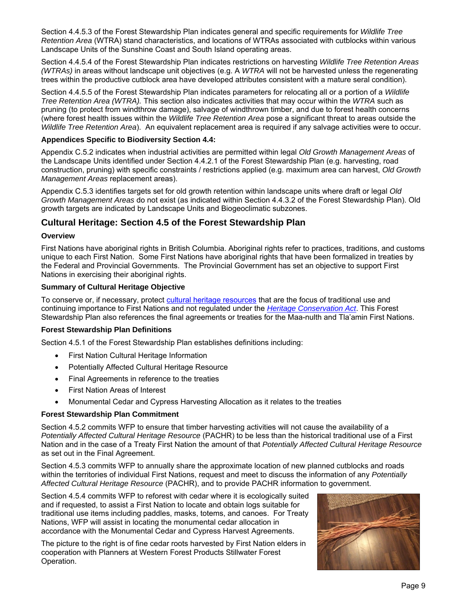Section 4.4.5.3 of the Forest Stewardship Plan indicates general and specific requirements for *Wildlife Tree Retention Area* (WTRA) stand characteristics, and locations of WTRAs associated with cutblocks within various Landscape Units of the Sunshine Coast and South Island operating areas.

Section 4.4.5.4 of the Forest Stewardship Plan indicates restrictions on harvesting *Wildlife Tree Retention Areas (WTRAs)* in areas without landscape unit objectives (e.g. A *WTRA* will not be harvested unless the regenerating trees within the productive cutblock area have developed attributes consistent with a mature seral condition).

Section 4.4.5.5 of the Forest Stewardship Plan indicates parameters for relocating all or a portion of a *Wildlife Tree Retention Area (WTRA).* This section also indicates activities that may occur within the *WTRA* such as pruning (to protect from windthrow damage), salvage of windthrown timber, and due to forest health concerns (where forest health issues within the *Wildlife Tree Retention Area* pose a significant threat to areas outside the *Wildlife Tree Retention Area*). An equivalent replacement area is required if any salvage activities were to occur.

## **Appendices Specific to Biodiversity Section 4.4:**

Appendix C.5.2 indicates when industrial activities are permitted within legal *Old Growth Management Areas* of the Landscape Units identified under Section 4.4.2.1 of the Forest Stewardship Plan (e.g. harvesting, road construction, pruning) with specific constraints / restrictions applied (e.g. maximum area can harvest, *Old Growth Management Areas* replacement areas).

Appendix C.5.3 identifies targets set for old growth retention within landscape units where draft or legal *Old Growth Management Areas* do not exist (as indicated within Section 4.4.3.2 of the Forest Stewardship Plan). Old growth targets are indicated by Landscape Units and Biogeoclimatic subzones.

## **Cultural Heritage: Section 4.5 of the Forest Stewardship Plan**

### **Overview**

First Nations have aboriginal rights in British Columbia. Aboriginal rights refer to practices, traditions, and customs unique to each First Nation. Some First Nations have aboriginal rights that have been formalized in treaties by the Federal and Provincial Governments. The Provincial Government has set an objective to support First Nations in exercising their aboriginal rights.

### **Summary of Cultural Heritage Objective**

To conserve or, if necessary, protect [cultural heritage resources](https://www.for.gov.bc.ca/ftp/hfp/external/!publish/frep/values/CHR Manual _addendum to FREP protocol.pdf) that are the focus of traditional use and continuing importance to First Nations and not regulated under the *[Heritage Conservation Act](http://www.bclaws.ca/civix/document/id/complete/statreg/96187_01)*. This Forest Stewardship Plan also references the final agreements or treaties for the Maa-nulth and Tla'amin First Nations.

#### **Forest Stewardship Plan Definitions**

Section 4.5.1 of the Forest Stewardship Plan establishes definitions including:

- First Nation Cultural Heritage Information
- Potentially Affected Cultural Heritage Resource
- Final Agreements in reference to the treaties
- First Nation Areas of Interest
- Monumental Cedar and Cypress Harvesting Allocation as it relates to the treaties

#### **Forest Stewardship Plan Commitment**

Section 4.5.2 commits WFP to ensure that timber harvesting activities will not cause the availability of a *Potentially Affected Cultural Heritage Resource* (PACHR) to be less than the historical traditional use of a First Nation and in the case of a Treaty First Nation the amount of that *Potentially Affected Cultural Heritage Resource* as set out in the Final Agreement.

Section 4.5.3 commits WFP to annually share the approximate location of new planned cutblocks and roads within the territories of individual First Nations, request and meet to discuss the information of any *Potentially Affected Cultural Heritage Resource* (PACHR), and to provide PACHR information to government.

Section 4.5.4 commits WFP to reforest with cedar where it is ecologically suited and if requested, to assist a First Nation to locate and obtain logs suitable for traditional use items including paddles, masks, totems, and canoes. For Treaty Nations, WFP will assist in locating the monumental cedar allocation in accordance with the Monumental Cedar and Cypress Harvest Agreements.

The picture to the right is of fine cedar roots harvested by First Nation elders in cooperation with Planners at Western Forest Products Stillwater Forest Operation.

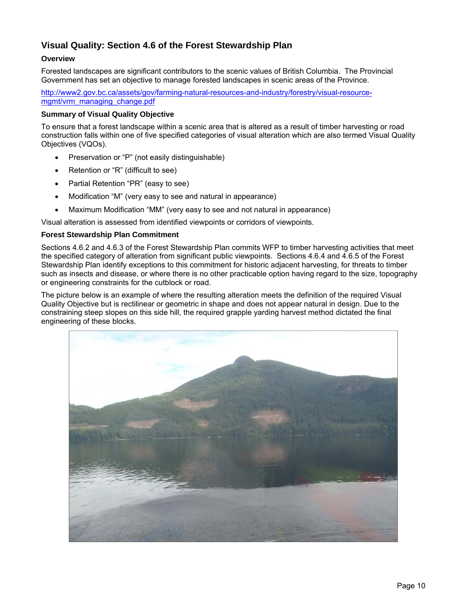## **Visual Quality: Section 4.6 of the Forest Stewardship Plan**

## **Overview**

Forested landscapes are significant contributors to the scenic values of British Columbia. The Provincial Government has set an objective to manage forested landscapes in scenic areas of the Province.

http://www2.gov.bc.ca/assets/gov/farming-natural-resources-and-industry/forestry/visual-resourcemgmt/vrm\_managing\_change.pdf

### **Summary of Visual Quality Objective**

To ensure that a forest landscape within a scenic area that is altered as a result of timber harvesting or road construction falls within one of five specified categories of visual alteration which are also termed Visual Quality Objectives (VQOs).

- Preservation or "P" (not easily distinguishable)
- Retention or "R" (difficult to see)
- Partial Retention "PR" (easy to see)
- Modification "M" (very easy to see and natural in appearance)
- Maximum Modification "MM" (very easy to see and not natural in appearance)

Visual alteration is assessed from identified viewpoints or corridors of viewpoints.

## **Forest Stewardship Plan Commitment**

Sections 4.6.2 and 4.6.3 of the Forest Stewardship Plan commits WFP to timber harvesting activities that meet the specified category of alteration from significant public viewpoints. Sections 4.6.4 and 4.6.5 of the Forest Stewardship Plan identify exceptions to this commitment for historic adjacent harvesting, for threats to timber such as insects and disease, or where there is no other practicable option having regard to the size, topography or engineering constraints for the cutblock or road.

The picture below is an example of where the resulting alteration meets the definition of the required Visual Quality Objective but is rectilinear or geometric in shape and does not appear natural in design. Due to the constraining steep slopes on this side hill, the required grapple yarding harvest method dictated the final engineering of these blocks.

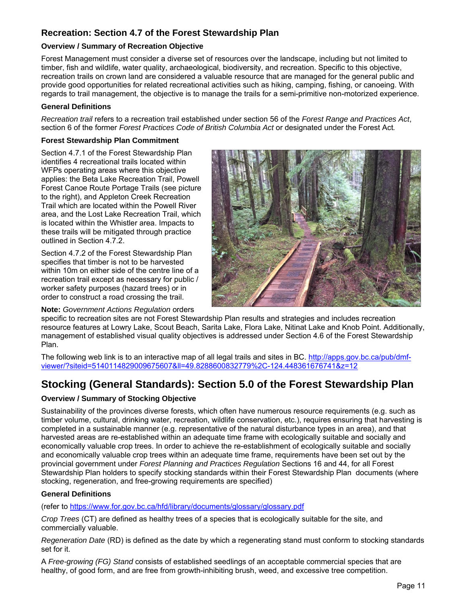## **Recreation: Section 4.7 of the Forest Stewardship Plan**

## **Overview / Summary of Recreation Objective**

Forest Management must consider a diverse set of resources over the landscape, including but not limited to timber, fish and wildlife, water quality, archaeological, biodiversity, and recreation. Specific to this objective, recreation trails on crown land are considered a valuable resource that are managed for the general public and provide good opportunities for related recreational activities such as hiking, camping, fishing, or canoeing. With regards to trail management, the objective is to manage the trails for a semi-primitive non-motorized experience.

## **General Definitions**

*Recreation trail* refers to a recreation trail established under section 56 of the *Forest Range and Practices Act*, section 6 of the former *Forest Practices Code of British Columbia Act* or designated under the Forest Act.

## **Forest Stewardship Plan Commitment**

Section 4.7.1 of the Forest Stewardship Plan identifies 4 recreational trails located within WFPs operating areas where this objective applies: the Beta Lake Recreation Trail, Powell Forest Canoe Route Portage Trails (see picture to the right), and Appleton Creek Recreation Trail which are located within the Powell River area, and the Lost Lake Recreation Trail, which is located within the Whistler area. Impacts to these trails will be mitigated through practice outlined in Section 4.7.2.

Section 4.7.2 of the Forest Stewardship Plan specifies that timber is not to be harvested within 10m on either side of the centre line of a recreation trail except as necessary for public / worker safety purposes (hazard trees) or in order to construct a road crossing the trail.

## **Note:** *Government Actions Regulation* orders



specific to recreation sites are not Forest Stewardship Plan results and strategies and includes recreation resource features at Lowry Lake, Scout Beach, Sarita Lake, Flora Lake, Nitinat Lake and Knob Point. Additionally, management of established visual quality objectives is addressed under Section 4.6 of the Forest Stewardship Plan.

The following web link is to an interactive map of all legal trails and sites in BC. http://apps.gov.bc.ca/pub/dmfviewer/?siteid=5140114829009675607&ll=49.8288600832779%2C-124.448361676741&z=12

## **Stocking (General Standards): Section 5.0 of the Forest Stewardship Plan**

## **Overview / Summary of Stocking Objective**

Sustainability of the provinces diverse forests, which often have numerous resource requirements (e.g. such as timber volume, cultural, drinking water, recreation, wildlife conservation, etc.), requires ensuring that harvesting is completed in a sustainable manner (e.g. representative of the natural disturbance types in an area), and that harvested areas are re-established within an adequate time frame with ecologically suitable and socially and economically valuable crop trees. In order to achieve the re-establishment of ecologically suitable and socially and economically valuable crop trees within an adequate time frame, requirements have been set out by the provincial government under *Forest Planning and Practices Regulation* Sections 16 and 44, for all Forest Stewardship Plan holders to specify stocking standards within their Forest Stewardship Plan documents (where stocking, regeneration, and free-growing requirements are specified)

## **General Definitions**

(refer to https://www.for.gov.bc.ca/hfd/library/documents/glossary/glossary.pdf

*Crop Trees* (CT) are defined as healthy trees of a species that is ecologically suitable for the site, and commercially valuable.

*Regeneration Date* (RD) is defined as the date by which a regenerating stand must conform to stocking standards set for it.

A *Free-growing (FG) Stand* consists of established seedlings of an acceptable commercial species that are healthy, of good form, and are free from growth-inhibiting brush, weed, and excessive tree competition.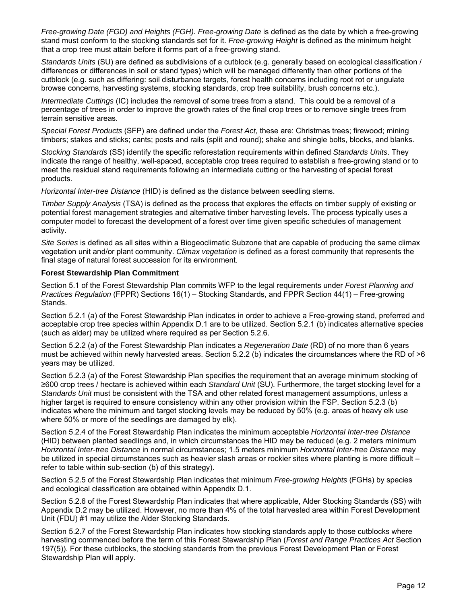*Free-growing Date (FGD) and Heights (FGH). Free-growing Date* is defined as the date by which a free-growing stand must conform to the stocking standards set for it. *Free-growing Height* is defined as the minimum height that a crop tree must attain before it forms part of a free-growing stand.

*Standards Units* (SU) are defined as subdivisions of a cutblock (e.g. generally based on ecological classification / differences or differences in soil or stand types) which will be managed differently than other portions of the cutblock (e.g. such as differing: soil disturbance targets, forest health concerns including root rot or ungulate browse concerns, harvesting systems, stocking standards, crop tree suitability, brush concerns etc.).

*Intermediate Cuttings* (IC) includes the removal of some trees from a stand. This could be a removal of a percentage of trees in order to improve the growth rates of the final crop trees or to remove single trees from terrain sensitive areas.

*Special Forest Products* (SFP) are defined under the *Forest Act,* these are: Christmas trees; firewood; mining timbers; stakes and sticks; cants; posts and rails (split and round); shake and shingle bolts, blocks, and blanks.

*Stocking Standards* (SS) identify the specific reforestation requirements within defined *Standards Units*. They indicate the range of healthy, well-spaced, acceptable crop trees required to establish a free-growing stand or to meet the residual stand requirements following an intermediate cutting or the harvesting of special forest products.

*Horizontal Inter-tree Distance* (HID) is defined as the distance between seedling stems.

*Timber Supply Analysis* (TSA) is defined as the process that explores the effects on timber supply of existing or potential forest management strategies and alternative timber harvesting levels. The process typically uses a computer model to forecast the development of a forest over time given specific schedules of management activity.

*Site Series* is defined as all sites within a Biogeoclimatic Subzone that are capable of producing the same climax vegetation unit and/or plant community. *Climax vegetation* is defined as a forest community that represents the final stage of natural forest succession for its environment.

#### **Forest Stewardship Plan Commitment**

Section 5.1 of the Forest Stewardship Plan commits WFP to the legal requirements under *Forest Planning and Practices Regulation* (FPPR) Sections 16(1) – Stocking Standards, and FPPR Section 44(1) – Free-growing Stands.

Section 5.2.1 (a) of the Forest Stewardship Plan indicates in order to achieve a Free-growing stand, preferred and acceptable crop tree species within Appendix D.1 are to be utilized. Section 5.2.1 (b) indicates alternative species (such as alder) may be utilized where required as per Section 5.2.6.

Section 5.2.2 (a) of the Forest Stewardship Plan indicates a *Regeneration Date* (RD) of no more than 6 years must be achieved within newly harvested areas. Section 5.2.2 (b) indicates the circumstances where the RD of >6 years may be utilized.

Section 5.2.3 (a) of the Forest Stewardship Plan specifies the requirement that an average minimum stocking of ≥600 crop trees / hectare is achieved within each *Standard Unit* (SU). Furthermore, the target stocking level for a *Standards Unit* must be consistent with the TSA and other related forest management assumptions, unless a higher target is required to ensure consistency within any other provision within the FSP. Section 5.2.3 (b) indicates where the minimum and target stocking levels may be reduced by 50% (e.g. areas of heavy elk use where 50% or more of the seedlings are damaged by elk).

Section 5.2.4 of the Forest Stewardship Plan indicates the minimum acceptable *Horizontal Inter-tree Distance* (HID) between planted seedlings and, in which circumstances the HID may be reduced (e.g. 2 meters minimum *Horizontal Inter-tree Distance* in normal circumstances; 1.5 meters minimum *Horizontal Inter-tree Distance* may be utilized in special circumstances such as heavier slash areas or rockier sites where planting is more difficult – refer to table within sub-section (b) of this strategy).

Section 5.2.5 of the Forest Stewardship Plan indicates that minimum *Free-growing Heights* (FGHs) by species and ecological classification are obtained within Appendix D.1.

Section 5.2.6 of the Forest Stewardship Plan indicates that where applicable, Alder Stocking Standards (SS) with Appendix D.2 may be utilized. However, no more than 4% of the total harvested area within Forest Development Unit (FDU) #1 may utilize the Alder Stocking Standards.

Section 5.2.7 of the Forest Stewardship Plan indicates how stocking standards apply to those cutblocks where harvesting commenced before the term of this Forest Stewardship Plan (*Forest and Range Practices Act* Section 197(5)). For these cutblocks, the stocking standards from the previous Forest Development Plan or Forest Stewardship Plan will apply.